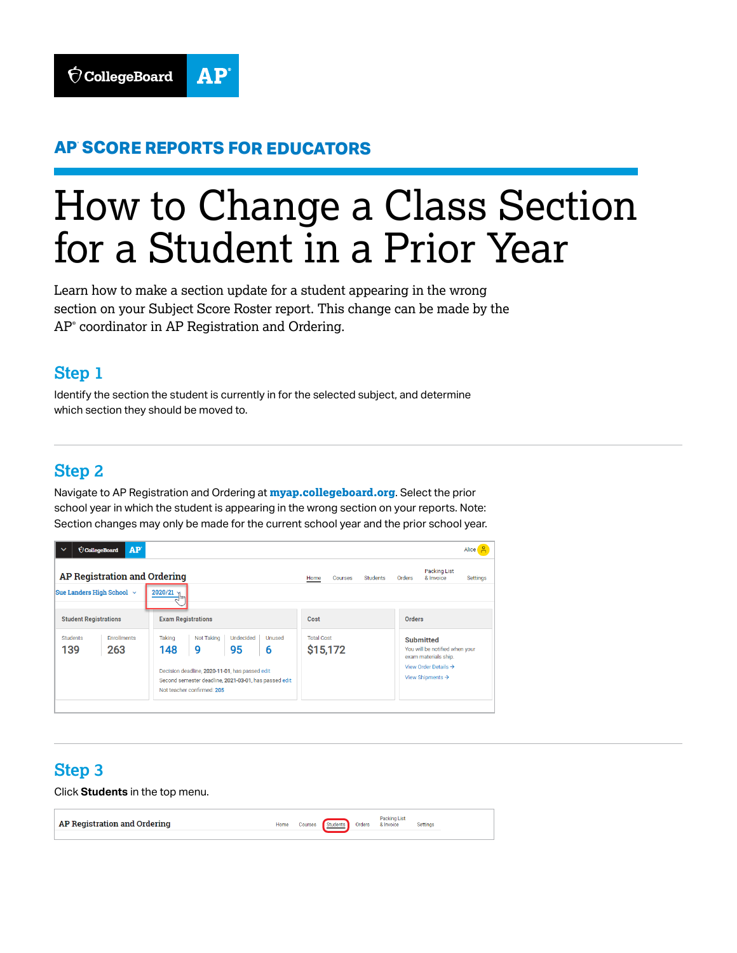

## **AP® SCORE REPORTS FOR EDUCATORS**

# How to Change a Class Section for a Student in a Prior Year

Learn how to make a section update for a student appearing in the wrong section on your Subject Score Roster report. This change can be made by the AP® coordinator in AP Registration and Ordering.

#### **Step 1**

Identify the section the student is currently in for the selected subject, and determine which section they should be moved to.

#### **Step 2**

Navigate to AP Registration and Ordering at **[myap.collegeboard.org](http://myap.collegeboard.org)**. Select the prior school year in which the student is appearing in the wrong section on your reports. Note: Section changes may only be made for the current school year and the prior school year.



# **Step 3**

Click **Students** in the top menu.